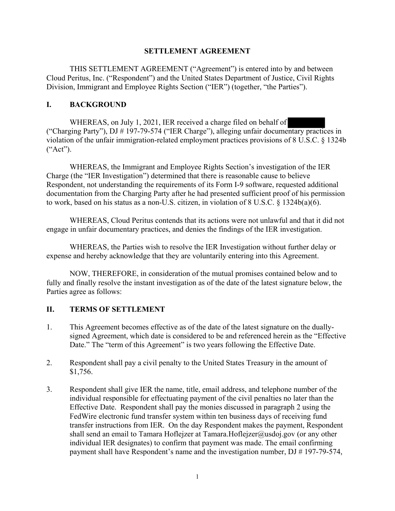## **SETTLEMENT AGREEMENT**

THIS SETTLEMENT AGREEMENT ("Agreement") is entered into by and between Cloud Peritus, Inc. ("Respondent") and the United States Department of Justice, Civil Rights Division, Immigrant and Employee Rights Section ("IER") (together, "the Parties").

## **I. BACKGROUND**

WHEREAS, on July 1, 2021, IER received a charge filed on behalf of ("Charging Party"), DJ # 197-79-574 ("IER Charge"), alleging unfair documentary practices in violation of the unfair immigration-related employment practices provisions of 8 U.S.C. § 1324b ("Act").

WHEREAS, the Immigrant and Employee Rights Section's investigation of the IER Charge (the "IER Investigation") determined that there is reasonable cause to believe Respondent, not understanding the requirements of its Form I-9 software, requested additional documentation from the Charging Party after he had presented sufficient proof of his permission to work, based on his status as a non-U.S. citizen, in violation of 8 U.S.C. § 1324b(a)(6).

WHEREAS, Cloud Peritus contends that its actions were not unlawful and that it did not engage in unfair documentary practices, and denies the findings of the IER investigation.

WHEREAS, the Parties wish to resolve the IER Investigation without further delay or expense and hereby acknowledge that they are voluntarily entering into this Agreement.

NOW, THEREFORE, in consideration of the mutual promises contained below and to fully and finally resolve the instant investigation as of the date of the latest signature below, the Parties agree as follows:

# **II. TERMS OF SETTLEMENT**

- 1. This Agreement becomes effective as of the date of the latest signature on the duallysigned Agreement, which date is considered to be and referenced herein as the "Effective Date." The "term of this Agreement" is two years following the Effective Date.
- 2. Respondent shall pay a civil penalty to the United States Treasury in the amount of \$1,756.
- 3. Respondent shall give IER the name, title, email address, and telephone number of the individual responsible for effectuating payment of the civil penalties no later than the Effective Date. Respondent shall pay the monies discussed in paragraph 2 using the FedWire electronic fund transfer system within ten business days of receiving fund transfer instructions from IER. On the day Respondent makes the payment, Respondent shall send an email to Tamara Hoflejzer at Tamara. Hoflejzer@usdoj.gov (or any other individual IER designates) to confirm that payment was made. The email confirming payment shall have Respondent's name and the investigation number, DJ # 197-79-574,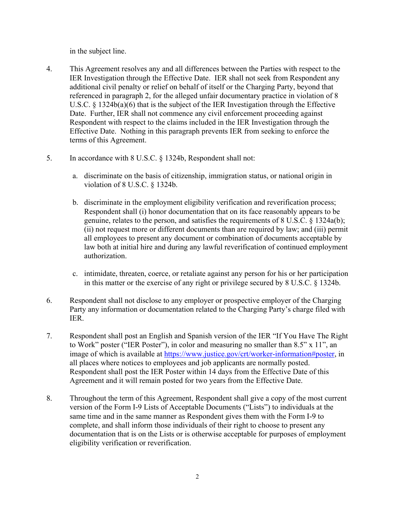in the subject line.

- 4. This Agreement resolves any and all differences between the Parties with respect to the IER Investigation through the Effective Date. IER shall not seek from Respondent any additional civil penalty or relief on behalf of itself or the Charging Party, beyond that referenced in paragraph 2, for the alleged unfair documentary practice in violation of 8 U.S.C. § 1324b(a)(6) that is the subject of the IER Investigation through the Effective Date. Further, IER shall not commence any civil enforcement proceeding against Respondent with respect to the claims included in the IER Investigation through the Effective Date. Nothing in this paragraph prevents IER from seeking to enforce the terms of this Agreement.
- 5. In accordance with 8 U.S.C. § 1324b, Respondent shall not:
	- a. discriminate on the basis of citizenship, immigration status, or national origin in violation of 8 U.S.C. § 1324b.
	- b. discriminate in the employment eligibility verification and reverification process; Respondent shall (i) honor documentation that on its face reasonably appears to be genuine, relates to the person, and satisfies the requirements of 8 U.S.C. § 1324a(b); (ii) not request more or different documents than are required by law; and (iii) permit all employees to present any document or combination of documents acceptable by law both at initial hire and during any lawful reverification of continued employment authorization.
	- c. intimidate, threaten, coerce, or retaliate against any person for his or her participation in this matter or the exercise of any right or privilege secured by 8 U.S.C. § 1324b.
- 6. Respondent shall not disclose to any employer or prospective employer of the Charging Party any information or documentation related to the Charging Party's charge filed with IER.
- 7. Respondent shall post an English and Spanish version of the IER "If You Have The Right to Work" poster ("IER Poster"), in color and measuring no smaller than 8.5" x 11", an image of which is available at https://www.justice.gov/crt/worker-information#poster, in all places where notices to employees and job applicants are normally posted. Respondent shall post the IER Poster within 14 days from the Effective Date of this Agreement and it will remain posted for two years from the Effective Date.
- 8. Throughout the term of this Agreement, Respondent shall give a copy of the most current version of the Form I-9 Lists of Acceptable Documents ("Lists") to individuals at the same time and in the same manner as Respondent gives them with the Form I-9 to complete, and shall inform those individuals of their right to choose to present any documentation that is on the Lists or is otherwise acceptable for purposes of employment eligibility verification or reverification.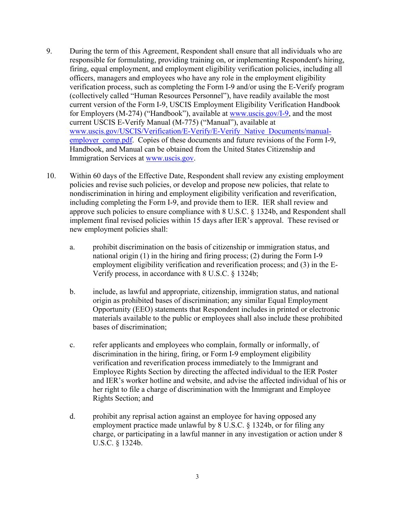- 9. During the term of this Agreement, Respondent shall ensure that all individuals who are responsible for formulating, providing training on, or implementing Respondent's hiring, firing, equal employment, and employment eligibility verification policies, including all officers, managers and employees who have any role in the employment eligibility verification process, such as completing the Form I-9 and/or using the E-Verify program (collectively called "Human Resources Personnel"), have readily available the most current version of the Form I-9, USCIS Employment Eligibility Verification Handbook for Employers (M-274) ("Handbook"), available at www.uscis.gov/I-9, and the most current USCIS E-Verify Manual (M-775) ("Manual"), available at www.uscis.gov/USCIS/Verification/E-Verify/E-Verify Native Documents/manualemployer comp.pdf. Copies of these documents and future revisions of the Form I-9, Handbook, and Manual can be obtained from the United States Citizenship and Immigration Services at www.uscis.gov.
- 10. Within 60 days of the Effective Date, Respondent shall review any existing employment policies and revise such policies, or develop and propose new policies, that relate to nondiscrimination in hiring and employment eligibility verification and reverification, including completing the Form I-9, and provide them to IER. IER shall review and approve such policies to ensure compliance with 8 U.S.C. § 1324b, and Respondent shall implement final revised policies within 15 days after IER's approval. These revised or new employment policies shall:
	- a. prohibit discrimination on the basis of citizenship or immigration status, and national origin (1) in the hiring and firing process; (2) during the Form I-9 employment eligibility verification and reverification process; and (3) in the E-Verify process, in accordance with 8 U.S.C. § 1324b;
	- b. include, as lawful and appropriate, citizenship, immigration status, and national origin as prohibited bases of discrimination; any similar Equal Employment Opportunity (EEO) statements that Respondent includes in printed or electronic materials available to the public or employees shall also include these prohibited bases of discrimination;
	- c. refer applicants and employees who complain, formally or informally, of discrimination in the hiring, firing, or Form I-9 employment eligibility verification and reverification process immediately to the Immigrant and Employee Rights Section by directing the affected individual to the IER Poster and IER's worker hotline and website, and advise the affected individual of his or her right to file a charge of discrimination with the Immigrant and Employee Rights Section; and
	- d. prohibit any reprisal action against an employee for having opposed any employment practice made unlawful by 8 U.S.C. § 1324b, or for filing any charge, or participating in a lawful manner in any investigation or action under 8 U.S.C. § 1324b.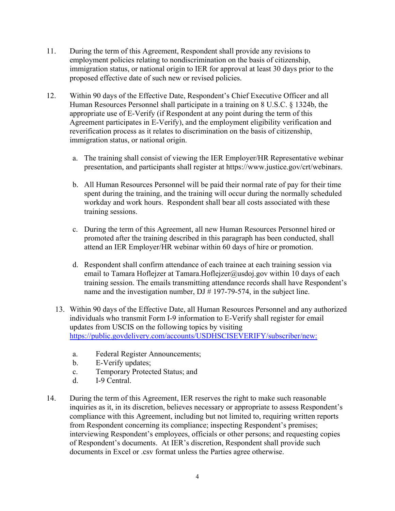- 11. During the term of this Agreement, Respondent shall provide any revisions to employment policies relating to nondiscrimination on the basis of citizenship, immigration status, or national origin to IER for approval at least 30 days prior to the proposed effective date of such new or revised policies.
- 12. Within 90 days of the Effective Date, Respondent's Chief Executive Officer and all Human Resources Personnel shall participate in a training on 8 U.S.C. § 1324b, the appropriate use of E-Verify (if Respondent at any point during the term of this Agreement participates in E-Verify), and the employment eligibility verification and reverification process as it relates to discrimination on the basis of citizenship, immigration status, or national origin.
	- a. The training shall consist of viewing the IER Employer/HR Representative webinar presentation, and participants shall register at https://www.justice.gov/crt/webinars.
	- b. All Human Resources Personnel will be paid their normal rate of pay for their time spent during the training, and the training will occur during the normally scheduled workday and work hours. Respondent shall bear all costs associated with these training sessions.
	- c. During the term of this Agreement, all new Human Resources Personnel hired or promoted after the training described in this paragraph has been conducted, shall attend an IER Employer/HR webinar within 60 days of hire or promotion.
	- d. Respondent shall confirm attendance of each trainee at each training session via email to Tamara Hoflejzer at Tamara.Hoflejzer@usdoj.gov within 10 days of each training session. The emails transmitting attendance records shall have Respondent's name and the investigation number, DJ # 197-79-574, in the subject line.
	- 13. Within 90 days of the Effective Date, all Human Resources Personnel and any authorized individuals who transmit Form I-9 information to E-Verify shall register for email updates from USCIS on the following topics by visiting https://public.govdelivery.com/accounts/USDHSCISEVERIFY/subscriber/new:
		- a. Federal Register Announcements;
		- b. E-Verify updates;
		- c. Temporary Protected Status; and
		- d. I-9 Central.
- 14. During the term of this Agreement, IER reserves the right to make such reasonable inquiries as it, in its discretion, believes necessary or appropriate to assess Respondent's compliance with this Agreement, including but not limited to, requiring written reports from Respondent concerning its compliance; inspecting Respondent's premises; interviewing Respondent's employees, officials or other persons; and requesting copies of Respondent's documents. At IER's discretion, Respondent shall provide such documents in Excel or .csv format unless the Parties agree otherwise.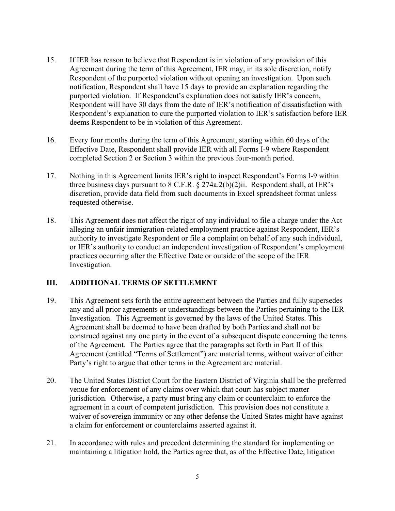- 15. If IER has reason to believe that Respondent is in violation of any provision of this Agreement during the term of this Agreement, IER may, in its sole discretion, notify Respondent of the purported violation without opening an investigation. Upon such notification, Respondent shall have 15 days to provide an explanation regarding the purported violation. If Respondent's explanation does not satisfy IER's concern, Respondent will have 30 days from the date of IER's notification of dissatisfaction with Respondent's explanation to cure the purported violation to IER's satisfaction before IER deems Respondent to be in violation of this Agreement.
- 16. Every four months during the term of this Agreement, starting within 60 days of the Effective Date, Respondent shall provide IER with all Forms I-9 where Respondent completed Section 2 or Section 3 within the previous four-month period.
- 17. Nothing in this Agreement limits IER's right to inspect Respondent's Forms I-9 within three business days pursuant to 8 C.F.R. § 274a.2(b)(2)ii. Respondent shall, at IER's discretion, provide data field from such documents in Excel spreadsheet format unless requested otherwise.
- 18. This Agreement does not affect the right of any individual to file a charge under the Act alleging an unfair immigration-related employment practice against Respondent, IER's authority to investigate Respondent or file a complaint on behalf of any such individual, or IER's authority to conduct an independent investigation of Respondent's employment practices occurring after the Effective Date or outside of the scope of the IER Investigation.

#### **III. ADDITIONAL TERMS OF SETTLEMENT**

- 19. This Agreement sets forth the entire agreement between the Parties and fully supersedes any and all prior agreements or understandings between the Parties pertaining to the IER Investigation. This Agreement is governed by the laws of the United States. This Agreement shall be deemed to have been drafted by both Parties and shall not be construed against any one party in the event of a subsequent dispute concerning the terms of the Agreement. The Parties agree that the paragraphs set forth in Part II of this Agreement (entitled "Terms of Settlement") are material terms, without waiver of either Party's right to argue that other terms in the Agreement are material.
- 20. The United States District Court for the Eastern District of Virginia shall be the preferred venue for enforcement of any claims over which that court has subject matter jurisdiction. Otherwise, a party must bring any claim or counterclaim to enforce the agreement in a court of competent jurisdiction. This provision does not constitute a waiver of sovereign immunity or any other defense the United States might have against a claim for enforcement or counterclaims asserted against it.
- 21. In accordance with rules and precedent determining the standard for implementing or maintaining a litigation hold, the Parties agree that, as of the Effective Date, litigation